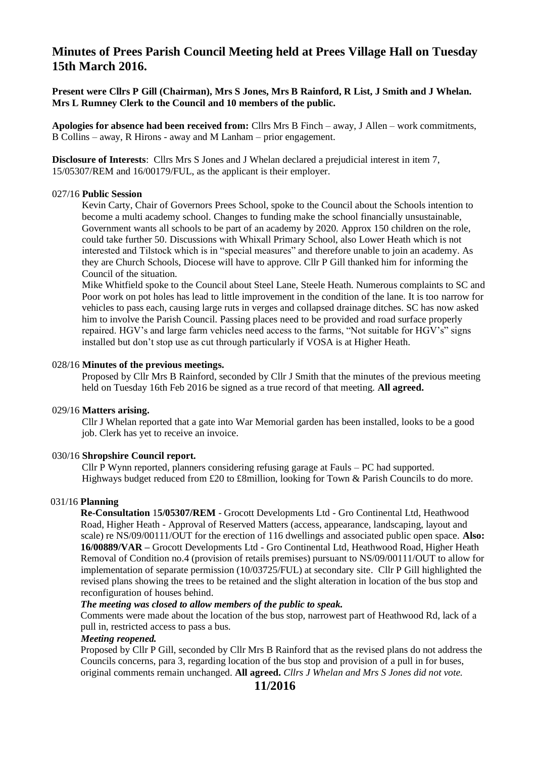# **Minutes of Prees Parish Council Meeting held at Prees Village Hall on Tuesday 15th March 2016.**

**Present were Cllrs P Gill (Chairman), Mrs S Jones, Mrs B Rainford, R List, J Smith and J Whelan. Mrs L Rumney Clerk to the Council and 10 members of the public.** 

**Apologies for absence had been received from:** Cllrs Mrs B Finch – away, J Allen – work commitments, B Collins – away, R Hirons - away and M Lanham – prior engagement.

**Disclosure of Interests**: Cllrs Mrs S Jones and J Whelan declared a prejudicial interest in item 7, 15/05307/REM and 16/00179/FUL, as the applicant is their employer.

### 027/16 **Public Session**

Kevin Carty, Chair of Governors Prees School, spoke to the Council about the Schools intention to become a multi academy school. Changes to funding make the school financially unsustainable, Government wants all schools to be part of an academy by 2020. Approx 150 children on the role, could take further 50. Discussions with Whixall Primary School, also Lower Heath which is not interested and Tilstock which is in "special measures" and therefore unable to join an academy. As they are Church Schools, Diocese will have to approve. Cllr P Gill thanked him for informing the Council of the situation.

 Mike Whitfield spoke to the Council about Steel Lane, Steele Heath. Numerous complaints to SC and Poor work on pot holes has lead to little improvement in the condition of the lane. It is too narrow for vehicles to pass each, causing large ruts in verges and collapsed drainage ditches. SC has now asked him to involve the Parish Council. Passing places need to be provided and road surface properly repaired. HGV's and large farm vehicles need access to the farms, "Not suitable for HGV's" signs installed but don't stop use as cut through particularly if VOSA is at Higher Heath.

## 028/16 **Minutes of the previous meetings.**

 Proposed by Cllr Mrs B Rainford, seconded by Cllr J Smith that the minutes of the previous meeting held on Tuesday 16th Feb 2016 be signed as a true record of that meeting. **All agreed.**

## 029/16 **Matters arising.**

 Cllr J Whelan reported that a gate into War Memorial garden has been installed, looks to be a good job. Clerk has yet to receive an invoice.

## 030/16 **Shropshire Council report.**

 Cllr P Wynn reported, planners considering refusing garage at Fauls – PC had supported. Highways budget reduced from £20 to £8million, looking for Town & Parish Councils to do more.

#### 031/16 **Planning**

 **Re-Consultation** 1**5/05307/REM** - Grocott Developments Ltd - Gro Continental Ltd, Heathwood Road, Higher Heath - Approval of Reserved Matters (access, appearance, landscaping, layout and scale) re NS/09/00111/OUT for the erection of 116 dwellings and associated public open space. **Also: 16/00889/VAR –** Grocott Developments Ltd - Gro Continental Ltd, Heathwood Road, Higher Heath Removal of Condition no.4 (provision of retails premises) pursuant to NS/09/00111/OUT to allow for implementation of separate permission (10/03725/FUL) at secondary site.Cllr P Gill highlighted the revised plans showing the trees to be retained and the slight alteration in location of the bus stop and reconfiguration of houses behind.

#### *The meeting was closed to allow members of the public to speak.*

 Comments were made about the location of the bus stop, narrowest part of Heathwood Rd, lack of a pull in, restricted access to pass a bus.

### *Meeting reopened.*

 Proposed by Cllr P Gill, seconded by Cllr Mrs B Rainford that as the revised plans do not address the Councils concerns, para 3, regarding location of the bus stop and provision of a pull in for buses, original comments remain unchanged. **All agreed.** *Cllrs J Whelan and Mrs S Jones did not vote.*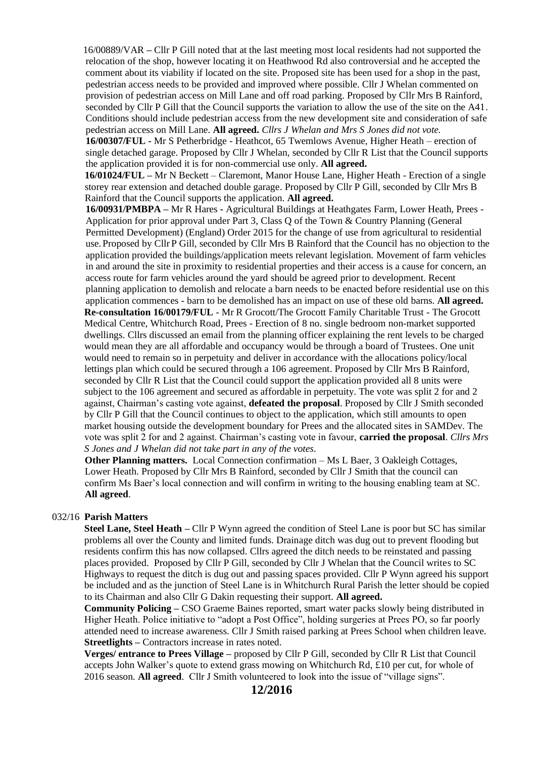16/00889/VAR **–** Cllr P Gill noted that at the last meeting most local residents had not supported the relocation of the shop, however locating it on Heathwood Rd also controversial and he accepted the comment about its viability if located on the site. Proposed site has been used for a shop in the past, pedestrian access needs to be provided and improved where possible. Cllr J Whelan commented on provision of pedestrian access on Mill Lane and off road parking. Proposed by Cllr Mrs B Rainford, seconded by Cllr P Gill that the Council supports the variation to allow the use of the site on the A41. Conditions should include pedestrian access from the new development site and consideration of safe pedestrian access on Mill Lane. **All agreed.** *Cllrs J Whelan and Mrs S Jones did not vote.*

 **16/00307/FUL -** Mr S Petherbridge - Heathcot, 65 Twemlows Avenue, Higher Heath – erection of single detached garage. Proposed by Cllr J Whelan, seconded by Cllr R List that the Council supports the application provided it is for non-commercial use only. **All agreed.**

 **16/01024/FUL –** Mr N Beckett – Claremont, Manor House Lane, Higher Heath - Erection of a single storey rear extension and detached double garage. Proposed by Cllr P Gill, seconded by Cllr Mrs B Rainford that the Council supports the application. **All agreed.**

 **16/00931/PMBPA –** Mr R Hares **-** Agricultural Buildings at Heathgates Farm, Lower Heath, Prees - Application for prior approval under Part 3, Class Q of the Town & Country Planning (General Permitted Development) (England) Order 2015 for the change of use from agricultural to residential use. Proposed by Cllr P Gill, seconded by Cllr Mrs B Rainford that the Council has no objection to the application provided the buildings/application meets relevant legislation. Movement of farm vehicles in and around the site in proximity to residential properties and their access is a cause for concern, an access route for farm vehicles around the yard should be agreed prior to development. Recent planning application to demolish and relocate a barn needs to be enacted before residential use on this application commences - barn to be demolished has an impact on use of these old barns. **All agreed. Re-consultation 16/00179/FUL** - Mr R Grocott/The Grocott Family Charitable Trust - The Grocott Medical Centre, Whitchurch Road, Prees - Erection of 8 no. single bedroom non-market supported dwellings. Cllrs discussed an email from the planning officer explaining the rent levels to be charged would mean they are all affordable and occupancy would be through a board of Trustees. One unit would need to remain so in perpetuity and deliver in accordance with the allocations policy/local lettings plan which could be secured through a 106 agreement. Proposed by Cllr Mrs B Rainford, seconded by Cllr R List that the Council could support the application provided all 8 units were subject to the 106 agreement and secured as affordable in perpetuity. The vote was split 2 for and 2 against, Chairman's casting vote against, **defeated the proposal**. Proposed by Cllr J Smith seconded by Cllr P Gill that the Council continues to object to the application, which still amounts to open market housing outside the development boundary for Prees and the allocated sites in SAMDev. The vote was split 2 for and 2 against. Chairman's casting vote in favour, **carried the proposal**. *Cllrs Mrs S Jones and J Whelan did not take part in any of the votes.* 

 **Other Planning matters.** Local Connection confirmation – Ms L Baer, 3 Oakleigh Cottages, Lower Heath. Proposed by Cllr Mrs B Rainford, seconded by Cllr J Smith that the council can confirm Ms Baer's local connection and will confirm in writing to the housing enabling team at SC. **All agreed**.

## 032/16 **Parish Matters**

 **Steel Lane, Steel Heath –** Cllr P Wynn agreed the condition of Steel Lane is poor but SC has similar problems all over the County and limited funds. Drainage ditch was dug out to prevent flooding but residents confirm this has now collapsed. Cllrs agreed the ditch needs to be reinstated and passing places provided. Proposed by Cllr P Gill, seconded by Cllr J Whelan that the Council writes to SC Highways to request the ditch is dug out and passing spaces provided. Cllr P Wynn agreed his support be included and as the junction of Steel Lane is in Whitchurch Rural Parish the letter should be copied to its Chairman and also Cllr G Dakin requesting their support. **All agreed.**

 **Community Policing –** CSO Graeme Baines reported, smart water packs slowly being distributed in Higher Heath. Police initiative to "adopt a Post Office", holding surgeries at Prees PO, so far poorly attended need to increase awareness. Cllr J Smith raised parking at Prees School when children leave.  **Streetlights –** Contractors increase in rates noted.

 **Verges/ entrance to Prees Village –** proposed by Cllr P Gill, seconded by Cllr R List that Council accepts John Walker's quote to extend grass mowing on Whitchurch Rd, £10 per cut, for whole of 2016 season. **All agreed**. Cllr J Smith volunteered to look into the issue of "village signs".